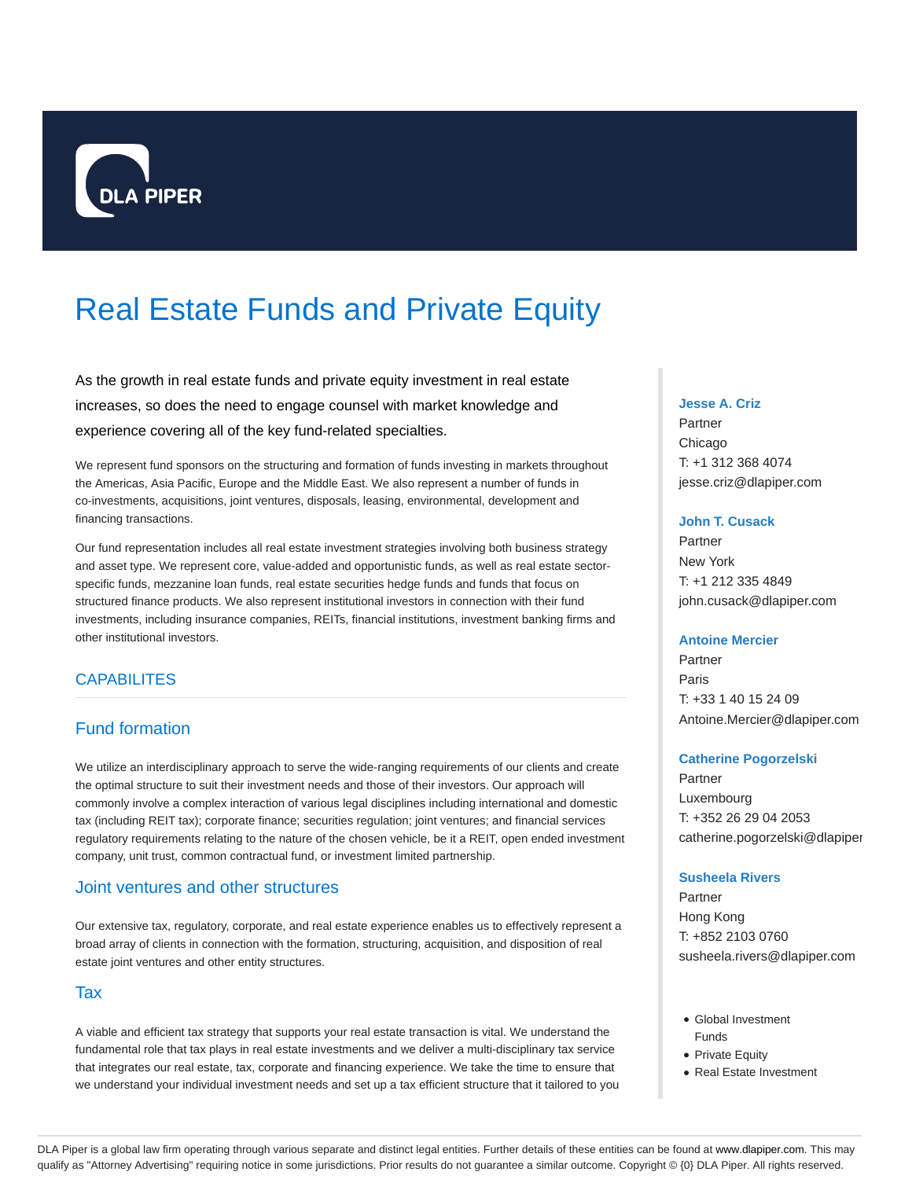

# Real Estate Funds and Private Equity

As the growth in real estate funds and private equity investment in real estate increases, so does the need to engage counsel with market knowledge and experience covering all of the key fund-related specialties.

We represent fund sponsors on the structuring and formation of funds investing in markets throughout the Americas, Asia Pacific, Europe and the Middle East. We also represent a number of funds in co-investments, acquisitions, joint ventures, disposals, leasing, environmental, development and financing transactions.

Our fund representation includes all real estate investment strategies involving both business strategy and asset type. We represent core, value-added and opportunistic funds, as well as real estate sectorspecific funds, mezzanine loan funds, real estate securities hedge funds and funds that focus on structured finance products. We also represent institutional investors in connection with their fund investments, including insurance companies, REITs, financial institutions, investment banking firms and other institutional investors.

# **CAPABILITES**

# Fund formation

We utilize an interdisciplinary approach to serve the wide-ranging requirements of our clients and create the optimal structure to suit their investment needs and those of their investors. Our approach will commonly involve a complex interaction of various legal disciplines including international and domestic tax (including REIT tax); corporate finance; securities regulation; joint ventures; and financial services regulatory requirements relating to the nature of the chosen vehicle, be it a REIT, open ended investment company, unit trust, common contractual fund, or investment limited partnership.

# Joint ventures and other structures

Our extensive tax, regulatory, corporate, and real estate experience enables us to effectively represent a broad array of clients in connection with the formation, structuring, acquisition, and disposition of real estate joint ventures and other entity structures.

## Tax

A viable and efficient tax strategy that supports your real estate transaction is vital. We understand the fundamental role that tax plays in real estate investments and we deliver a multi-disciplinary tax service that integrates our real estate, tax, corporate and financing experience. We take the time to ensure that we understand your individual investment needs and set up a tax efficient structure that it tailored to you

#### **Jesse A. Criz**

Partner Chicago T: +1 312 368 4074 jesse.criz@dlapiper.com

#### **John T. Cusack**

Partner New York T: +1 212 335 4849 john.cusack@dlapiper.com

#### **Antoine Mercier**

Partner Paris T: +33 1 40 15 24 09 Antoine.Mercier@dlapiper.com

#### **Catherine Pogorzelski**

Partner Luxembourg T: +352 26 29 04 2053 catherine.pogorzelski@dlapiper

### **Susheela Rivers**

Partner Hong Kong T: +852 2103 0760 susheela.rivers@dlapiper.com

- Global Investment Funds
- Private Equity
- Real Estate Investment

DLA Piper is a global law firm operating through various separate and distinct legal entities. Further details of these entities can be found at www.dlapiper.com. This may qualify as "Attorney Advertising" requiring notice in some jurisdictions. Prior results do not guarantee a similar outcome. Copyright © {0} DLA Piper. All rights reserved.